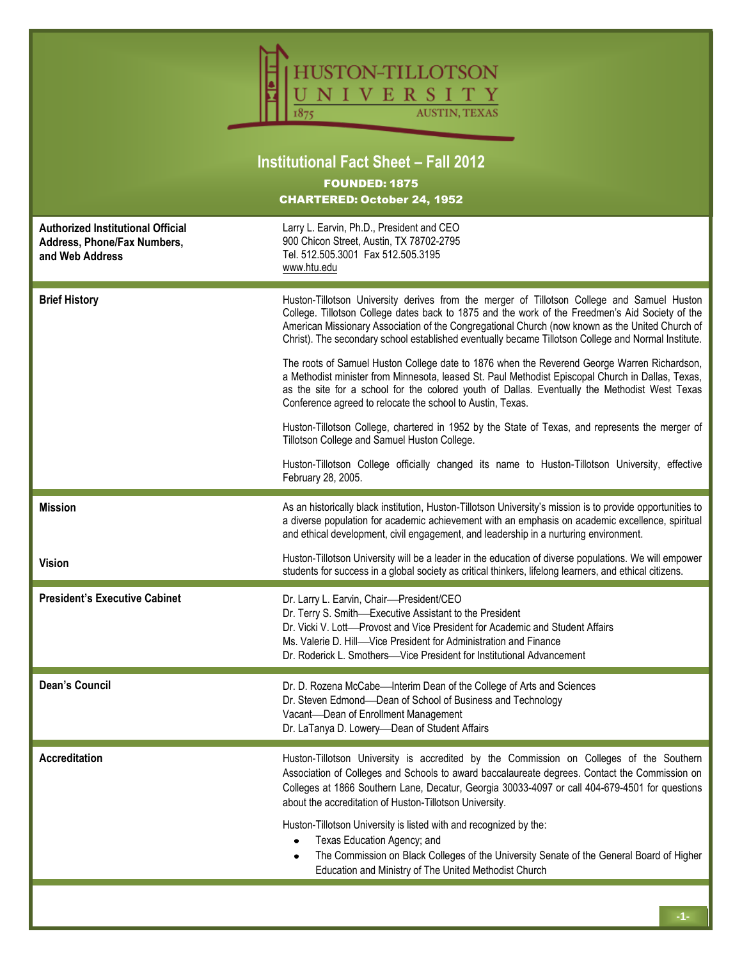| STON-TILLOTSON<br>NIVERSITY<br><b>AUSTIN, TEXAS</b><br><b>Institutional Fact Sheet - Fall 2012</b> |                                                                                                                                                                                                                                                                                                                                                                                                                                                                                                                                                                                                                                                                                                                                                                            |  |  |  |  |
|----------------------------------------------------------------------------------------------------|----------------------------------------------------------------------------------------------------------------------------------------------------------------------------------------------------------------------------------------------------------------------------------------------------------------------------------------------------------------------------------------------------------------------------------------------------------------------------------------------------------------------------------------------------------------------------------------------------------------------------------------------------------------------------------------------------------------------------------------------------------------------------|--|--|--|--|
| <b>FOUNDED: 1875</b><br><b>CHARTERED: October 24, 1952</b>                                         |                                                                                                                                                                                                                                                                                                                                                                                                                                                                                                                                                                                                                                                                                                                                                                            |  |  |  |  |
| <b>Authorized Institutional Official</b><br>Address, Phone/Fax Numbers,<br>and Web Address         | Larry L. Earvin, Ph.D., President and CEO<br>900 Chicon Street, Austin, TX 78702-2795<br>Tel. 512.505.3001 Fax 512.505.3195<br>www.htu.edu                                                                                                                                                                                                                                                                                                                                                                                                                                                                                                                                                                                                                                 |  |  |  |  |
| <b>Brief History</b>                                                                               | Huston-Tillotson University derives from the merger of Tillotson College and Samuel Huston<br>College. Tillotson College dates back to 1875 and the work of the Freedmen's Aid Society of the<br>American Missionary Association of the Congregational Church (now known as the United Church of<br>Christ). The secondary school established eventually became Tillotson College and Normal Institute.<br>The roots of Samuel Huston College date to 1876 when the Reverend George Warren Richardson,<br>a Methodist minister from Minnesota, leased St. Paul Methodist Episcopal Church in Dallas, Texas,<br>as the site for a school for the colored youth of Dallas. Eventually the Methodist West Texas<br>Conference agreed to relocate the school to Austin, Texas. |  |  |  |  |
|                                                                                                    | Huston-Tillotson College, chartered in 1952 by the State of Texas, and represents the merger of<br>Tillotson College and Samuel Huston College.<br>Huston-Tillotson College officially changed its name to Huston-Tillotson University, effective                                                                                                                                                                                                                                                                                                                                                                                                                                                                                                                          |  |  |  |  |
|                                                                                                    | February 28, 2005.                                                                                                                                                                                                                                                                                                                                                                                                                                                                                                                                                                                                                                                                                                                                                         |  |  |  |  |
| <b>Mission</b>                                                                                     | As an historically black institution, Huston-Tillotson University's mission is to provide opportunities to<br>a diverse population for academic achievement with an emphasis on academic excellence, spiritual<br>and ethical development, civil engagement, and leadership in a nurturing environment.                                                                                                                                                                                                                                                                                                                                                                                                                                                                    |  |  |  |  |
| <b>Vision</b>                                                                                      | Huston-Tillotson University will be a leader in the education of diverse populations. We will empower<br>students for success in a global society as critical thinkers, lifelong learners, and ethical citizens.                                                                                                                                                                                                                                                                                                                                                                                                                                                                                                                                                           |  |  |  |  |
| <b>President's Executive Cabinet</b>                                                               | Dr. Larry L. Earvin, Chair-President/CEO<br>Dr. Terry S. Smith-Executive Assistant to the President<br>Dr. Vicki V. Lott—Provost and Vice President for Academic and Student Affairs<br>Ms. Valerie D. Hill—Vice President for Administration and Finance<br>Dr. Roderick L. Smothers-Vice President for Institutional Advancement                                                                                                                                                                                                                                                                                                                                                                                                                                         |  |  |  |  |
| <b>Dean's Council</b>                                                                              | Dr. D. Rozena McCabe—Interim Dean of the College of Arts and Sciences<br>Dr. Steven Edmond-Dean of School of Business and Technology<br>Vacant-Dean of Enrollment Management<br>Dr. LaTanya D. Lowery-Dean of Student Affairs                                                                                                                                                                                                                                                                                                                                                                                                                                                                                                                                              |  |  |  |  |
| <b>Accreditation</b>                                                                               | Huston-Tillotson University is accredited by the Commission on Colleges of the Southern<br>Association of Colleges and Schools to award baccalaureate degrees. Contact the Commission on<br>Colleges at 1866 Southern Lane, Decatur, Georgia 30033-4097 or call 404-679-4501 for questions<br>about the accreditation of Huston-Tillotson University.                                                                                                                                                                                                                                                                                                                                                                                                                      |  |  |  |  |
|                                                                                                    | Huston-Tillotson University is listed with and recognized by the:<br>Texas Education Agency; and<br>The Commission on Black Colleges of the University Senate of the General Board of Higher<br>Education and Ministry of The United Methodist Church                                                                                                                                                                                                                                                                                                                                                                                                                                                                                                                      |  |  |  |  |
|                                                                                                    |                                                                                                                                                                                                                                                                                                                                                                                                                                                                                                                                                                                                                                                                                                                                                                            |  |  |  |  |